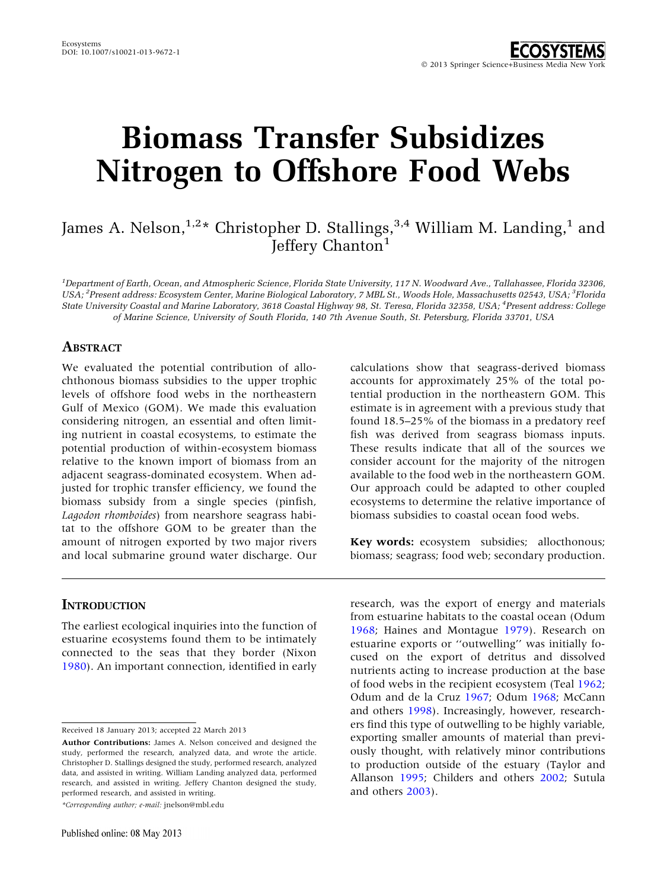# Biomass Transfer Subsidizes Nitrogen to Offshore Food Webs

# James A. Nelson,<sup>1,2</sup>\* Christopher D. Stallings,<sup>3,4</sup> William M. Landing,<sup>1</sup> and Jeffery Chanton<sup>1</sup>

1 Department of Earth, Ocean, and Atmospheric Science, Florida State University, 117 N. Woodward Ave., Tallahassee, Florida 32306, USA; <sup>2</sup>Present address: Ecosystem Center, Marine Biological Laboratory, 7 MBL St., Woods Hole, Massachusetts 02543, USA; <sup>3</sup>Florida State University Coastal and Marine Laboratory, 3618 Coastal Highway 98, St. Teresa, Florida 32358, USA; <sup>4</sup> Present address: College of Marine Science, University of South Florida, 140 7th Avenue South, St. Petersburg, Florida 33701, USA

# **ABSTRACT**

We evaluated the potential contribution of allochthonous biomass subsidies to the upper trophic levels of offshore food webs in the northeastern Gulf of Mexico (GOM). We made this evaluation considering nitrogen, an essential and often limiting nutrient in coastal ecosystems, to estimate the potential production of within-ecosystem biomass relative to the known import of biomass from an adjacent seagrass-dominated ecosystem. When adjusted for trophic transfer efficiency, we found the biomass subsidy from a single species (pinfish, Lagodon rhomboides) from nearshore seagrass habitat to the offshore GOM to be greater than the amount of nitrogen exported by two major rivers and local submarine ground water discharge. Our

calculations show that seagrass-derived biomass accounts for approximately 25% of the total potential production in the northeastern GOM. This estimate is in agreement with a previous study that found 18.5–25% of the biomass in a predatory reef fish was derived from seagrass biomass inputs. These results indicate that all of the sources we consider account for the majority of the nitrogen available to the food web in the northeastern GOM. Our approach could be adapted to other coupled ecosystems to determine the relative importance of biomass subsidies to coastal ocean food webs.

Key words: ecosystem subsidies; allocthonous; biomass; seagrass; food web; secondary production.

# **INTRODUCTION**

The earliest ecological inquiries into the function of estuarine ecosystems found them to be intimately connected to the seas that they border (Nixon [1980\)](#page-7-0). An important connection, identified in early

Received 18 January 2013; accepted 22 March 2013

\*Corresponding author; e-mail: jnelson@mbl.edu

research, was the export of energy and materials from estuarine habitats to the coastal ocean (Odum [1968;](#page-7-0) Haines and Montague [1979\)](#page-7-0). Research on estuarine exports or ''outwelling'' was initially focused on the export of detritus and dissolved nutrients acting to increase production at the base of food webs in the recipient ecosystem (Teal [1962](#page-8-0); Odum and de la Cruz [1967](#page-7-0); Odum [1968](#page-7-0); McCann and others [1998\)](#page-7-0). Increasingly, however, researchers find this type of outwelling to be highly variable, exporting smaller amounts of material than previously thought, with relatively minor contributions to production outside of the estuary (Taylor and Allanson [1995;](#page-8-0) Childers and others [2002;](#page-7-0) Sutula and others [2003\)](#page-8-0).

Author Contributions: James A. Nelson conceived and designed the study, performed the research, analyzed data, and wrote the article. Christopher D. Stallings designed the study, performed research, analyzed data, and assisted in writing. William Landing analyzed data, performed research, and assisted in writing. Jeffery Chanton designed the study, performed research, and assisted in writing.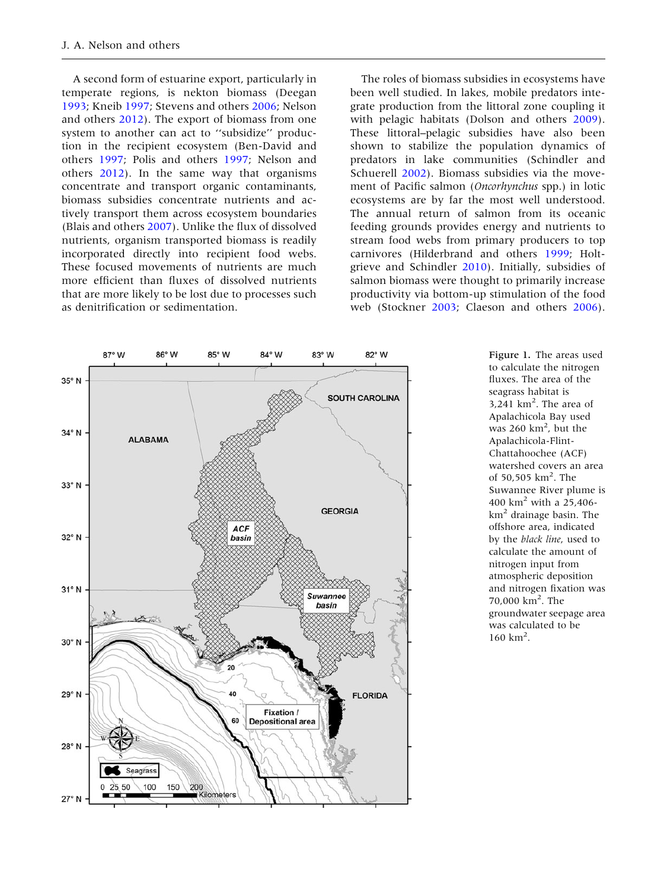<span id="page-1-0"></span>A second form of estuarine export, particularly in temperate regions, is nekton biomass (Deegan [1993;](#page-7-0) Kneib [1997](#page-7-0); Stevens and others [2006](#page-8-0); Nelson and others [2012](#page-7-0)). The export of biomass from one system to another can act to ''subsidize'' production in the recipient ecosystem (Ben-David and others [1997](#page-6-0); Polis and others [1997](#page-7-0); Nelson and others [2012\)](#page-7-0). In the same way that organisms concentrate and transport organic contaminants, biomass subsidies concentrate nutrients and actively transport them across ecosystem boundaries (Blais and others [2007](#page-6-0)). Unlike the flux of dissolved nutrients, organism transported biomass is readily incorporated directly into recipient food webs. These focused movements of nutrients are much more efficient than fluxes of dissolved nutrients that are more likely to be lost due to processes such as denitrification or sedimentation.

The roles of biomass subsidies in ecosystems have been well studied. In lakes, mobile predators integrate production from the littoral zone coupling it with pelagic habitats (Dolson and others [2009](#page-7-0)). These littoral–pelagic subsidies have also been shown to stabilize the population dynamics of predators in lake communities (Schindler and Schuerell [2002\)](#page-7-0). Biomass subsidies via the movement of Pacific salmon (Oncorhynchus spp.) in lotic ecosystems are by far the most well understood. The annual return of salmon from its oceanic feeding grounds provides energy and nutrients to stream food webs from primary producers to top carnivores (Hilderbrand and others [1999](#page-7-0); Holtgrieve and Schindler [2010\)](#page-7-0). Initially, subsidies of salmon biomass were thought to primarily increase productivity via bottom-up stimulation of the food web (Stockner [2003;](#page-8-0) Claeson and others [2006](#page-7-0)).



Figure 1. The areas used to calculate the nitrogen fluxes. The area of the seagrass habitat is  $3,241$  km<sup>2</sup>. The area of Apalachicola Bay used was  $260 \text{ km}^2$ , but the Apalachicola-Flint-Chattahoochee (ACF) watershed covers an area of 50,505 km<sup>2</sup>. The Suwannee River plume is 400  $km^2$  with a 25,406 $km<sup>2</sup>$  drainage basin. The offshore area, indicated by the black line, used to calculate the amount of nitrogen input from atmospheric deposition and nitrogen fixation was 70,000 km2 . The groundwater seepage area was calculated to be  $160 \text{ km}^2$ .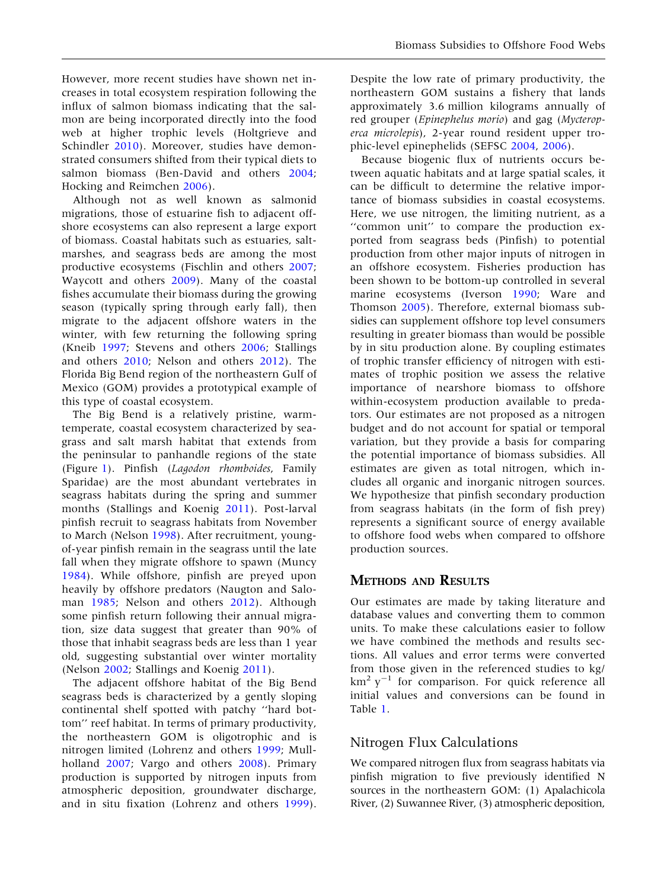However, more recent studies have shown net increases in total ecosystem respiration following the influx of salmon biomass indicating that the salmon are being incorporated directly into the food web at higher trophic levels (Holtgrieve and Schindler [2010\)](#page-7-0). Moreover, studies have demonstrated consumers shifted from their typical diets to salmon biomass (Ben-David and others [2004](#page-6-0); Hocking and Reimchen [2006](#page-7-0)).

Although not as well known as salmonid migrations, those of estuarine fish to adjacent offshore ecosystems can also represent a large export of biomass. Coastal habitats such as estuaries, saltmarshes, and seagrass beds are among the most productive ecosystems (Fischlin and others [2007](#page-7-0); Waycott and others [2009\)](#page-8-0). Many of the coastal fishes accumulate their biomass during the growing season (typically spring through early fall), then migrate to the adjacent offshore waters in the winter, with few returning the following spring (Kneib [1997;](#page-7-0) Stevens and others [2006;](#page-8-0) Stallings and others [2010](#page-8-0); Nelson and others [2012](#page-7-0)). The Florida Big Bend region of the northeastern Gulf of Mexico (GOM) provides a prototypical example of this type of coastal ecosystem.

The Big Bend is a relatively pristine, warmtemperate, coastal ecosystem characterized by seagrass and salt marsh habitat that extends from the peninsular to panhandle regions of the state (Figure [1\)](#page-1-0). Pinfish (Lagodon rhomboides, Family Sparidae) are the most abundant vertebrates in seagrass habitats during the spring and summer months (Stallings and Koenig [2011\)](#page-8-0). Post-larval pinfish recruit to seagrass habitats from November to March (Nelson [1998](#page-7-0)). After recruitment, youngof-year pinfish remain in the seagrass until the late fall when they migrate offshore to spawn (Muncy [1984\)](#page-7-0). While offshore, pinfish are preyed upon heavily by offshore predators (Naugton and Saloman [1985](#page-7-0); Nelson and others [2012](#page-7-0)). Although some pinfish return following their annual migration, size data suggest that greater than 90% of those that inhabit seagrass beds are less than 1 year old, suggesting substantial over winter mortality (Nelson [2002;](#page-7-0) Stallings and Koenig [2011](#page-8-0)).

The adjacent offshore habitat of the Big Bend seagrass beds is characterized by a gently sloping continental shelf spotted with patchy ''hard bottom'' reef habitat. In terms of primary productivity, the northeastern GOM is oligotrophic and is nitrogen limited (Lohrenz and others [1999](#page-7-0); Mullholland [2007;](#page-7-0) Vargo and others [2008](#page-8-0)). Primary production is supported by nitrogen inputs from atmospheric deposition, groundwater discharge, and in situ fixation (Lohrenz and others [1999](#page-7-0)).

Despite the low rate of primary productivity, the northeastern GOM sustains a fishery that lands approximately 3.6 million kilograms annually of red grouper (Epinephelus morio) and gag (Mycteroperca microlepis), 2-year round resident upper trophic-level epinephelids (SEFSC [2004,](#page-8-0) [2006](#page-8-0)).

Because biogenic flux of nutrients occurs between aquatic habitats and at large spatial scales, it can be difficult to determine the relative importance of biomass subsidies in coastal ecosystems. Here, we use nitrogen, the limiting nutrient, as a ''common unit'' to compare the production exported from seagrass beds (Pinfish) to potential production from other major inputs of nitrogen in an offshore ecosystem. Fisheries production has been shown to be bottom-up controlled in several marine ecosystems (Iverson [1990](#page-7-0); Ware and Thomson [2005\)](#page-8-0). Therefore, external biomass subsidies can supplement offshore top level consumers resulting in greater biomass than would be possible by in situ production alone. By coupling estimates of trophic transfer efficiency of nitrogen with estimates of trophic position we assess the relative importance of nearshore biomass to offshore within-ecosystem production available to predators. Our estimates are not proposed as a nitrogen budget and do not account for spatial or temporal variation, but they provide a basis for comparing the potential importance of biomass subsidies. All estimates are given as total nitrogen, which includes all organic and inorganic nitrogen sources. We hypothesize that pinfish secondary production from seagrass habitats (in the form of fish prey) represents a significant source of energy available to offshore food webs when compared to offshore production sources.

#### METHODS AND RESULTS

Our estimates are made by taking literature and database values and converting them to common units. To make these calculations easier to follow we have combined the methods and results sections. All values and error terms were converted from those given in the referenced studies to kg/  $km^2 y^{-1}$  for comparison. For quick reference all initial values and conversions can be found in Table [1](#page-3-0).

## Nitrogen Flux Calculations

We compared nitrogen flux from seagrass habitats via pinfish migration to five previously identified N sources in the northeastern GOM: (1) Apalachicola River, (2) Suwannee River, (3) atmospheric deposition,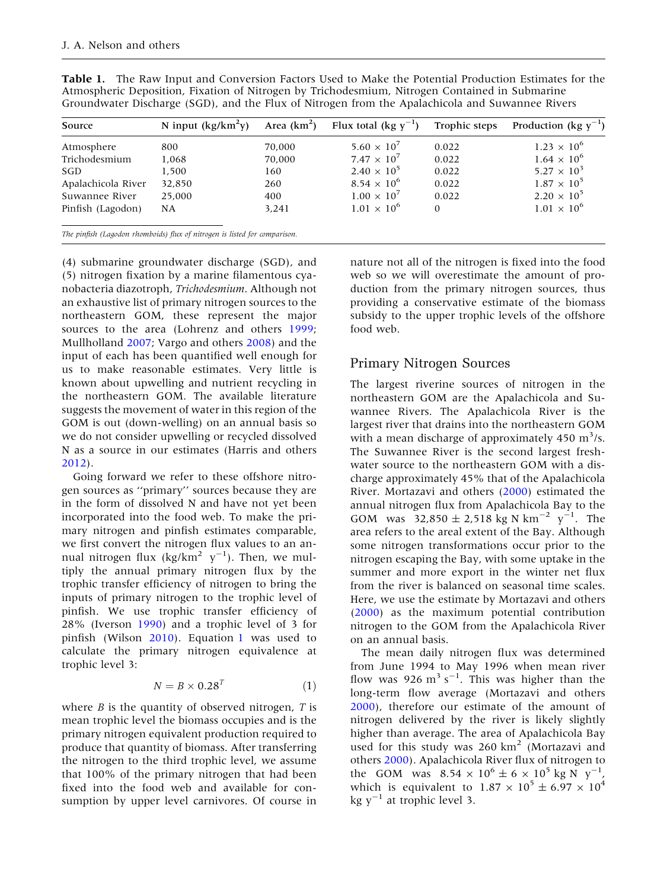<span id="page-3-0"></span>

| Table 1. The Raw Input and Conversion Factors Used to Make the Potential Production Estimates for the |
|-------------------------------------------------------------------------------------------------------|
| Atmospheric Deposition, Fixation of Nitrogen by Trichodesmium, Nitrogen Contained in Submarine        |
| Groundwater Discharge (SGD), and the Flux of Nitrogen from the Apalachicola and Suwannee Rivers       |

| Source             | N input $(kg/km^2y)$                                                       | Area $(km^2)$ | Flux total (kg $v^{-1}$ ) | Trophic steps | Production (kg $y^{-1}$ ) |
|--------------------|----------------------------------------------------------------------------|---------------|---------------------------|---------------|---------------------------|
| Atmosphere         | 800                                                                        | 70.000        | $5.60 \times 10^{7}$      | 0.022         | $1.23 \times 10^{6}$      |
| Trichodesmium      | 1,068                                                                      | 70.000        | $7.47 \times 10^{7}$      | 0.022         | $1.64 \times 10^{6}$      |
| SGD                | 1,500                                                                      | 160           | $2.40 \times 10^{5}$      | 0.022         | $5.27 \times 10^{3}$      |
| Apalachicola River | 32,850                                                                     | 260           | $8.54 \times 10^{6}$      | 0.022         | $1.87 \times 10^{5}$      |
| Suwannee River     | 25,000                                                                     | 400           | $1.00 \times 10^{7}$      | 0.022         | $2.20 \times 10^{5}$      |
| Pinfish (Lagodon)  | NA                                                                         | 3.241         | $1.01 \times 10^{6}$      | $\Omega$      | $1.01 \times 10^{6}$      |
|                    | The pinfish (Lagodon rhomboids) flux of nitrogen is listed for comparison. |               |                           |               |                           |

(4) submarine groundwater discharge (SGD), and (5) nitrogen fixation by a marine filamentous cyanobacteria diazotroph, Trichodesmium. Although not an exhaustive list of primary nitrogen sources to the northeastern GOM, these represent the major sources to the area (Lohrenz and others [1999](#page-7-0); Mullholland [2007;](#page-7-0) Vargo and others [2008](#page-8-0)) and the input of each has been quantified well enough for us to make reasonable estimates. Very little is known about upwelling and nutrient recycling in the northeastern GOM. The available literature suggests the movement of water in this region of the GOM is out (down-welling) on an annual basis so we do not consider upwelling or recycled dissolved N as a source in our estimates (Harris and others [2012\)](#page-7-0).

Going forward we refer to these offshore nitrogen sources as ''primary'' sources because they are in the form of dissolved N and have not yet been incorporated into the food web. To make the primary nitrogen and pinfish estimates comparable, we first convert the nitrogen flux values to an annual nitrogen flux (kg/km<sup>2</sup>  $y^{-1}$ ). Then, we multiply the annual primary nitrogen flux by the trophic transfer efficiency of nitrogen to bring the inputs of primary nitrogen to the trophic level of pinfish. We use trophic transfer efficiency of 28% (Iverson [1990](#page-7-0)) and a trophic level of 3 for pinfish (Wilson [2010\)](#page-8-0). Equation 1 was used to calculate the primary nitrogen equivalence at trophic level 3:

$$
N = B \times 0.28^T \tag{1}
$$

where  $B$  is the quantity of observed nitrogen,  $T$  is mean trophic level the biomass occupies and is the primary nitrogen equivalent production required to produce that quantity of biomass. After transferring the nitrogen to the third trophic level, we assume that 100% of the primary nitrogen that had been fixed into the food web and available for consumption by upper level carnivores. Of course in nature not all of the nitrogen is fixed into the food web so we will overestimate the amount of production from the primary nitrogen sources, thus providing a conservative estimate of the biomass subsidy to the upper trophic levels of the offshore food web.

## Primary Nitrogen Sources

The largest riverine sources of nitrogen in the northeastern GOM are the Apalachicola and Suwannee Rivers. The Apalachicola River is the largest river that drains into the northeastern GOM with a mean discharge of approximately  $450 \text{ m}^3$ /s. The Suwannee River is the second largest freshwater source to the northeastern GOM with a discharge approximately 45% that of the Apalachicola River. Mortazavi and others ([2000\)](#page-7-0) estimated the annual nitrogen flux from Apalachicola Bay to the GOM was  $32,850 \pm 2,518$  kg N km<sup>-2</sup> y<sup>-1</sup>. The area refers to the areal extent of the Bay. Although some nitrogen transformations occur prior to the nitrogen escaping the Bay, with some uptake in the summer and more export in the winter net flux from the river is balanced on seasonal time scales. Here, we use the estimate by Mortazavi and others ([2000\)](#page-7-0) as the maximum potential contribution nitrogen to the GOM from the Apalachicola River on an annual basis.

The mean daily nitrogen flux was determined from June 1994 to May 1996 when mean river flow was  $926 \text{ m}^3 \text{ s}^{-1}$ . This was higher than the long-term flow average (Mortazavi and others [2000\)](#page-7-0), therefore our estimate of the amount of nitrogen delivered by the river is likely slightly higher than average. The area of Apalachicola Bay used for this study was  $260 \text{ km}^2$  (Mortazavi and others [2000](#page-7-0)). Apalachicola River flux of nitrogen to the GOM was  $8.54 \times 10^6 \pm 6 \times 10^5$  kg N y<sup>-1</sup>, which is equivalent to  $1.87 \times 10^5 \pm 6.97 \times 10^4$ kg  $y^{-1}$  at trophic level 3.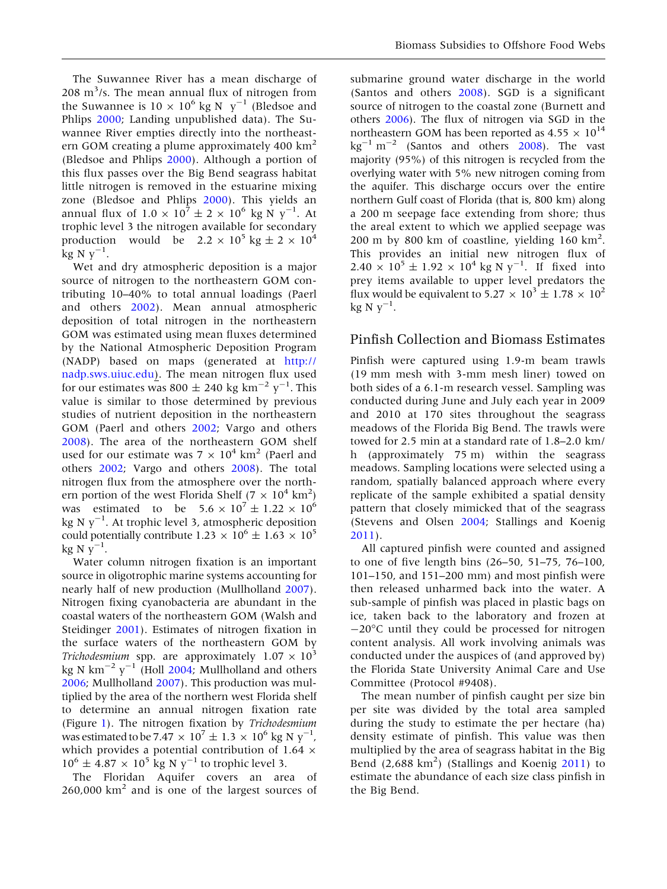The Suwannee River has a mean discharge of  $208 \text{ m}^3$ /s. The mean annual flux of nitrogen from the Suwannee is  $10 \times 10^6$  kg N y<sup>-1</sup> (Bledsoe and Phlips [2000;](#page-6-0) Landing unpublished data). The Suwannee River empties directly into the northeastern GOM creating a plume approximately 400  $\text{km}^2$ (Bledsoe and Phlips [2000\)](#page-6-0). Although a portion of this flux passes over the Big Bend seagrass habitat little nitrogen is removed in the estuarine mixing zone (Bledsoe and Phlips [2000\)](#page-6-0). This yields an annual flux of  $1.0 \times 10^7 \pm 2 \times 10^6 \text{ kg N y}^{-1}$ . At trophic level 3 the nitrogen available for secondary production would be  $2.2 \times 10^5$  kg  $\pm 2 \times 10^4$  $\rm kg N y^{-1}$ .

Wet and dry atmospheric deposition is a major source of nitrogen to the northeastern GOM contributing 10–40% to total annual loadings (Paerl and others [2002\)](#page-7-0). Mean annual atmospheric deposition of total nitrogen in the northeastern GOM was estimated using mean fluxes determined by the National Atmospheric Deposition Program (NADP) based on maps (generated at [http://](http://nadp.sws.uiuc.edu) [nadp.sws.uiuc.edu](http://nadp.sws.uiuc.edu)). The mean nitrogen flux used for our estimates was 800  $\pm$  240 kg km<sup>-2</sup> y<sup>-1</sup>. This value is similar to those determined by previous studies of nutrient deposition in the northeastern GOM (Paerl and others [2002;](#page-7-0) Vargo and others [2008\)](#page-8-0). The area of the northeastern GOM shelf used for our estimate was  $7 \times 10^4$  km<sup>2</sup> (Paerl and others [2002;](#page-7-0) Vargo and others [2008](#page-8-0)). The total nitrogen flux from the atmosphere over the northern portion of the west Florida Shelf ( $7 \times 10^4$  km<sup>2</sup>) was estimated to be  $5.6 \times 10^7 \pm 1.22 \times 10^6$ kg N  $\rm y^{-1}$ . At trophic level 3, atmospheric deposition could potentially contribute 1.23  $\times$  10<sup>6</sup>  $\pm$  1.63  $\times$  10<sup>5</sup>  $kg \text{ N } y^{-1}$ .

Water column nitrogen fixation is an important source in oligotrophic marine systems accounting for nearly half of new production (Mullholland [2007\)](#page-7-0). Nitrogen fixing cyanobacteria are abundant in the coastal waters of the northeastern GOM (Walsh and Steidinger [2001\)](#page-8-0). Estimates of nitrogen fixation in the surface waters of the northeastern GOM by *Trichodesmium* spp. are approximately  $1.07 \times 10^3$ kg N km<sup>-2</sup> y<sup>-1</sup> (Holl [2004](#page-7-0); Mullholland and others [2006;](#page-7-0) Mullholland [2007\)](#page-7-0). This production was multiplied by the area of the northern west Florida shelf to determine an annual nitrogen fixation rate (Figure [1](#page-1-0)). The nitrogen fixation by Trichodesmium was estimated to be 7.47  $\times$  10<sup>7</sup>  $\pm$  1.3  $\times$  10<sup>6</sup> kg N y<sup>-1</sup>, which provides a potential contribution of 1.64  $\times$  $10^6 \pm 4.87 \times 10^5$  kg N y<sup>-1</sup> to trophic level 3.

The Floridan Aquifer covers an area of 260,000 km<sup>2</sup> and is one of the largest sources of

submarine ground water discharge in the world (Santos and others [2008](#page-7-0)). SGD is a significant source of nitrogen to the coastal zone (Burnett and others [2006](#page-7-0)). The flux of nitrogen via SGD in the northeastern GOM has been reported as  $4.55 \times 10^{14}$  $\text{kg}^{-1} \text{ m}^{-2}$  (Santos and others [2008\)](#page-7-0). The vast majority (95%) of this nitrogen is recycled from the overlying water with 5% new nitrogen coming from the aquifer. This discharge occurs over the entire northern Gulf coast of Florida (that is, 800 km) along a 200 m seepage face extending from shore; thus the areal extent to which we applied seepage was 200 m by 800 km of coastline, yielding 160 km<sup>2</sup> . This provides an initial new nitrogen flux of  $2.40 \times 10^5 \pm 1.92 \times 10^4$  kg N y<sup>-1</sup>. If fixed into prey items available to upper level predators the flux would be equivalent to  $5.27 \times 10^3 \pm 1.78 \times 10^2$  $kg N y^{-1}$ .

## Pinfish Collection and Biomass Estimates

Pinfish were captured using 1.9-m beam trawls (19 mm mesh with 3-mm mesh liner) towed on both sides of a 6.1-m research vessel. Sampling was conducted during June and July each year in 2009 and 2010 at 170 sites throughout the seagrass meadows of the Florida Big Bend. The trawls were towed for 2.5 min at a standard rate of 1.8–2.0 km/ h (approximately 75 m) within the seagrass meadows. Sampling locations were selected using a random, spatially balanced approach where every replicate of the sample exhibited a spatial density pattern that closely mimicked that of the seagrass (Stevens and Olsen [2004](#page-8-0); Stallings and Koenig [2011\)](#page-8-0).

All captured pinfish were counted and assigned to one of five length bins (26–50, 51–75, 76–100, 101–150, and 151–200 mm) and most pinfish were then released unharmed back into the water. A sub-sample of pinfish was placed in plastic bags on ice, taken back to the laboratory and frozen at  $-20^{\circ}$ C until they could be processed for nitrogen content analysis. All work involving animals was conducted under the auspices of (and approved by) the Florida State University Animal Care and Use Committee (Protocol #9408).

The mean number of pinfish caught per size bin per site was divided by the total area sampled during the study to estimate the per hectare (ha) density estimate of pinfish. This value was then multiplied by the area of seagrass habitat in the Big Bend (2,688 km<sup>2</sup>) (Stallings and Koenig [2011](#page-8-0)) to estimate the abundance of each size class pinfish in the Big Bend.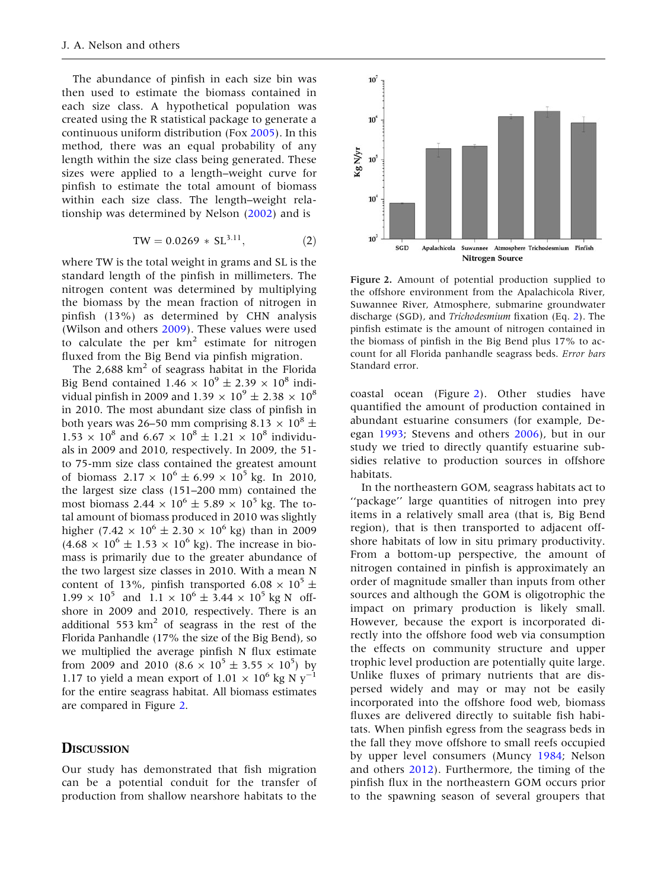The abundance of pinfish in each size bin was then used to estimate the biomass contained in each size class. A hypothetical population was created using the R statistical package to generate a continuous uniform distribution (Fox [2005\)](#page-7-0). In this method, there was an equal probability of any length within the size class being generated. These sizes were applied to a length–weight curve for pinfish to estimate the total amount of biomass within each size class. The length–weight relationship was determined by Nelson ([2002\)](#page-7-0) and is

$$
TW = 0.0269 \times SL^{3.11}, \tag{2}
$$

where TW is the total weight in grams and SL is the standard length of the pinfish in millimeters. The nitrogen content was determined by multiplying the biomass by the mean fraction of nitrogen in pinfish (13%) as determined by CHN analysis (Wilson and others [2009](#page-8-0)). These values were used to calculate the per  $km^2$  estimate for nitrogen fluxed from the Big Bend via pinfish migration.

The 2,688  $km<sup>2</sup>$  of seagrass habitat in the Florida Big Bend contained 1.46  $\times$  10<sup>9</sup>  $\pm$  2.39  $\times$  10<sup>8</sup> individual pinfish in 2009 and 1.39  $\times$  10<sup>9</sup>  $\pm$  2.38  $\times$  10<sup>8</sup> in 2010. The most abundant size class of pinfish in both years was 26–50 mm comprising 8.13  $\times$  10<sup>8</sup>  $\pm$  $1.53 \times 10^8$  and  $6.67 \times 10^8 \pm 1.21 \times 10^8$  individuals in 2009 and 2010, respectively. In 2009, the 51 to 75-mm size class contained the greatest amount of biomass  $2.17 \times 10^6 \pm 6.99 \times 10^5$  kg. In 2010, the largest size class (151–200 mm) contained the most biomass 2.44  $\times$  10<sup>6</sup>  $\pm$  5.89  $\times$  10<sup>5</sup> kg. The total amount of biomass produced in 2010 was slightly higher (7.42  $\times$  10<sup>6</sup> ± 2.30  $\times$  10<sup>6</sup> kg) than in 2009  $(4.68 \times 10^{6} \pm 1.53 \times 10^{6} \text{ kg})$ . The increase in biomass is primarily due to the greater abundance of the two largest size classes in 2010. With a mean N content of 13%, pinfish transported 6.08  $\times$  10<sup>5</sup>  $\pm$  $1.99 \times 10^5$  and  $1.1 \times 10^6 \pm 3.44 \times 10^5$  kg N offshore in 2009 and 2010, respectively. There is an additional 553  $km<sup>2</sup>$  of seagrass in the rest of the Florida Panhandle (17% the size of the Big Bend), so we multiplied the average pinfish N flux estimate from 2009 and 2010  $(8.6 \times 10^5 \pm 3.55 \times 10^5)$  by 1.17 to yield a mean export of 1.01  $\times$  10<sup>6</sup> kg N y<sup>-1</sup> for the entire seagrass habitat. All biomass estimates are compared in Figure 2.

#### **DISCUSSION**

Our study has demonstrated that fish migration can be a potential conduit for the transfer of production from shallow nearshore habitats to the



Figure 2. Amount of potential production supplied to the offshore environment from the Apalachicola River, Suwannee River, Atmosphere, submarine groundwater discharge (SGD), and Trichodesmium fixation (Eq. 2). The pinfish estimate is the amount of nitrogen contained in the biomass of pinfish in the Big Bend plus 17% to account for all Florida panhandle seagrass beds. Error bars Standard error.

coastal ocean (Figure 2). Other studies have quantified the amount of production contained in abundant estuarine consumers (for example, Deegan [1993](#page-7-0); Stevens and others [2006](#page-8-0)), but in our study we tried to directly quantify estuarine subsidies relative to production sources in offshore habitats.

In the northeastern GOM, seagrass habitats act to ''package'' large quantities of nitrogen into prey items in a relatively small area (that is, Big Bend region), that is then transported to adjacent offshore habitats of low in situ primary productivity. From a bottom-up perspective, the amount of nitrogen contained in pinfish is approximately an order of magnitude smaller than inputs from other sources and although the GOM is oligotrophic the impact on primary production is likely small. However, because the export is incorporated directly into the offshore food web via consumption the effects on community structure and upper trophic level production are potentially quite large. Unlike fluxes of primary nutrients that are dispersed widely and may or may not be easily incorporated into the offshore food web, biomass fluxes are delivered directly to suitable fish habitats. When pinfish egress from the seagrass beds in the fall they move offshore to small reefs occupied by upper level consumers (Muncy [1984;](#page-7-0) Nelson and others [2012](#page-7-0)). Furthermore, the timing of the pinfish flux in the northeastern GOM occurs prior to the spawning season of several groupers that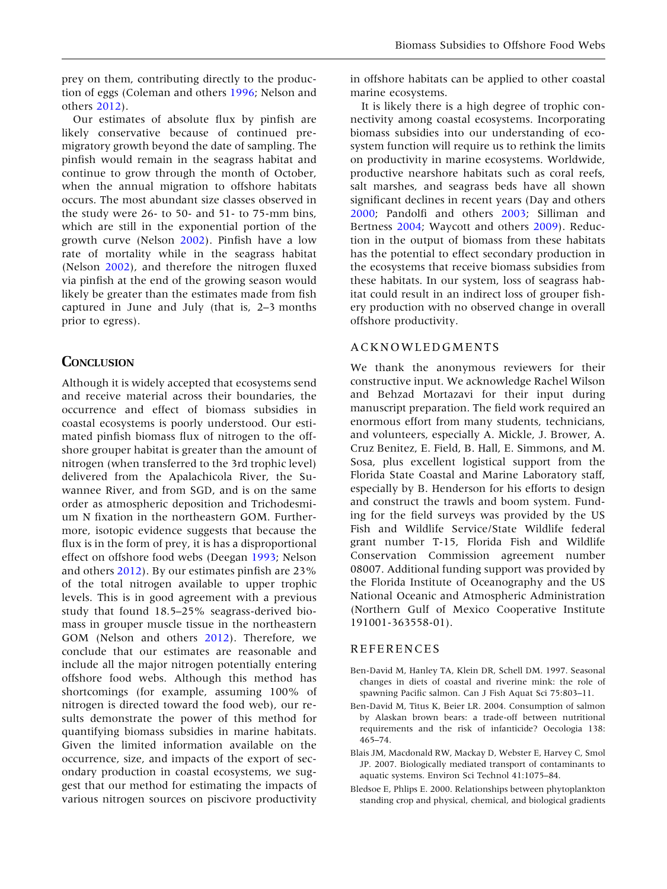<span id="page-6-0"></span>prey on them, contributing directly to the production of eggs (Coleman and others [1996;](#page-7-0) Nelson and others [2012\)](#page-7-0).

Our estimates of absolute flux by pinfish are likely conservative because of continued premigratory growth beyond the date of sampling. The pinfish would remain in the seagrass habitat and continue to grow through the month of October, when the annual migration to offshore habitats occurs. The most abundant size classes observed in the study were 26- to 50- and 51- to 75-mm bins, which are still in the exponential portion of the growth curve (Nelson [2002\)](#page-7-0). Pinfish have a low rate of mortality while in the seagrass habitat (Nelson [2002\)](#page-7-0), and therefore the nitrogen fluxed via pinfish at the end of the growing season would likely be greater than the estimates made from fish captured in June and July (that is, 2–3 months prior to egress).

#### **CONCLUSION**

Although it is widely accepted that ecosystems send and receive material across their boundaries, the occurrence and effect of biomass subsidies in coastal ecosystems is poorly understood. Our estimated pinfish biomass flux of nitrogen to the offshore grouper habitat is greater than the amount of nitrogen (when transferred to the 3rd trophic level) delivered from the Apalachicola River, the Suwannee River, and from SGD, and is on the same order as atmospheric deposition and Trichodesmium N fixation in the northeastern GOM. Furthermore, isotopic evidence suggests that because the flux is in the form of prey, it is has a disproportional effect on offshore food webs (Deegan [1993;](#page-7-0) Nelson and others [2012](#page-7-0)). By our estimates pinfish are 23% of the total nitrogen available to upper trophic levels. This is in good agreement with a previous study that found 18.5–25% seagrass-derived biomass in grouper muscle tissue in the northeastern GOM (Nelson and others [2012](#page-7-0)). Therefore, we conclude that our estimates are reasonable and include all the major nitrogen potentially entering offshore food webs. Although this method has shortcomings (for example, assuming 100% of nitrogen is directed toward the food web), our results demonstrate the power of this method for quantifying biomass subsidies in marine habitats. Given the limited information available on the occurrence, size, and impacts of the export of secondary production in coastal ecosystems, we suggest that our method for estimating the impacts of various nitrogen sources on piscivore productivity in offshore habitats can be applied to other coastal marine ecosystems.

It is likely there is a high degree of trophic connectivity among coastal ecosystems. Incorporating biomass subsidies into our understanding of ecosystem function will require us to rethink the limits on productivity in marine ecosystems. Worldwide, productive nearshore habitats such as coral reefs, salt marshes, and seagrass beds have all shown significant declines in recent years (Day and others [2000;](#page-7-0) Pandolfi and others [2003;](#page-7-0) Silliman and Bertness [2004](#page-8-0); Waycott and others [2009\)](#page-8-0). Reduction in the output of biomass from these habitats has the potential to effect secondary production in the ecosystems that receive biomass subsidies from these habitats. In our system, loss of seagrass habitat could result in an indirect loss of grouper fishery production with no observed change in overall offshore productivity.

#### ACKNOWLEDGMENTS

We thank the anonymous reviewers for their constructive input. We acknowledge Rachel Wilson and Behzad Mortazavi for their input during manuscript preparation. The field work required an enormous effort from many students, technicians, and volunteers, especially A. Mickle, J. Brower, A. Cruz Benitez, E. Field, B. Hall, E. Simmons, and M. Sosa, plus excellent logistical support from the Florida State Coastal and Marine Laboratory staff, especially by B. Henderson for his efforts to design and construct the trawls and boom system. Funding for the field surveys was provided by the US Fish and Wildlife Service/State Wildlife federal grant number T-15, Florida Fish and Wildlife Conservation Commission agreement number 08007. Additional funding support was provided by the Florida Institute of Oceanography and the US National Oceanic and Atmospheric Administration (Northern Gulf of Mexico Cooperative Institute 191001-363558-01).

#### REFERENCES

- Ben-David M, Hanley TA, Klein DR, Schell DM. 1997. Seasonal changes in diets of coastal and riverine mink: the role of spawning Pacific salmon. Can J Fish Aquat Sci 75:803–11.
- Ben-David M, Titus K, Beier LR. 2004. Consumption of salmon by Alaskan brown bears: a trade-off between nutritional requirements and the risk of infanticide? Oecologia 138: 465–74.
- Blais JM, Macdonald RW, Mackay D, Webster E, Harvey C, Smol JP. 2007. Biologically mediated transport of contaminants to aquatic systems. Environ Sci Technol 41:1075–84.
- Bledsoe E, Phlips E. 2000. Relationships between phytoplankton standing crop and physical, chemical, and biological gradients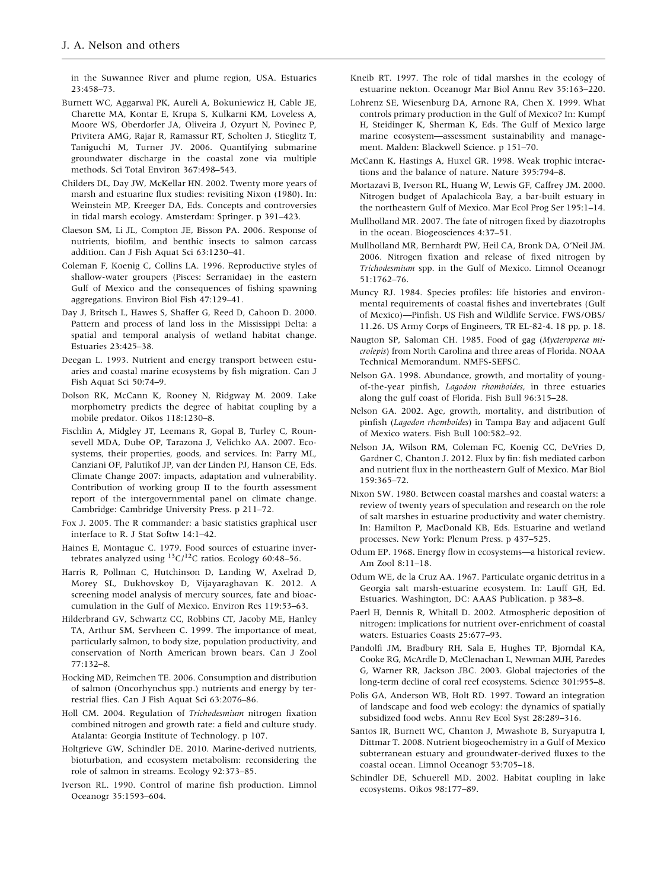<span id="page-7-0"></span>in the Suwannee River and plume region, USA. Estuaries 23:458–73.

- Burnett WC, Aggarwal PK, Aureli A, Bokuniewicz H, Cable JE, Charette MA, Kontar E, Krupa S, Kulkarni KM, Loveless A, Moore WS, Oberdorfer JA, Oliveira J, Ozyurt N, Povinec P, Privitera AMG, Rajar R, Ramassur RT, Scholten J, Stieglitz T, Taniguchi M, Turner JV. 2006. Quantifying submarine groundwater discharge in the coastal zone via multiple methods. Sci Total Environ 367:498–543.
- Childers DL, Day JW, McKellar HN. 2002. Twenty more years of marsh and estuarine flux studies: revisiting Nixon (1980). In: Weinstein MP, Kreeger DA, Eds. Concepts and controversies in tidal marsh ecology. Amsterdam: Springer. p 391–423.
- Claeson SM, Li JL, Compton JE, Bisson PA. 2006. Response of nutrients, biofilm, and benthic insects to salmon carcass addition. Can J Fish Aquat Sci 63:1230–41.
- Coleman F, Koenig C, Collins LA. 1996. Reproductive styles of shallow-water groupers (Pisces: Serranidae) in the eastern Gulf of Mexico and the consequences of fishing spawning aggregations. Environ Biol Fish 47:129–41.
- Day J, Britsch L, Hawes S, Shaffer G, Reed D, Cahoon D. 2000. Pattern and process of land loss in the Mississippi Delta: a spatial and temporal analysis of wetland habitat change. Estuaries 23:425–38.
- Deegan L. 1993. Nutrient and energy transport between estuaries and coastal marine ecosystems by fish migration. Can J Fish Aquat Sci 50:74–9.
- Dolson RK, McCann K, Rooney N, Ridgway M. 2009. Lake morphometry predicts the degree of habitat coupling by a mobile predator. Oikos 118:1230–8.
- Fischlin A, Midgley JT, Leemans R, Gopal B, Turley C, Rounsevell MDA, Dube OP, Tarazona J, Velichko AA. 2007. Ecosystems, their properties, goods, and services. In: Parry ML, Canziani OF, Palutikof JP, van der Linden PJ, Hanson CE, Eds. Climate Change 2007: impacts, adaptation and vulnerability. Contribution of working group II to the fourth assessment report of the intergovernmental panel on climate change. Cambridge: Cambridge University Press. p 211–72.
- Fox J. 2005. The R commander: a basic statistics graphical user interface to R. J Stat Softw 14:1–42.
- Haines E, Montague C. 1979. Food sources of estuarine invertebrates analyzed using  ${}^{13}$ C/ ${}^{12}$ C ratios. Ecology 60:48–56.
- Harris R, Pollman C, Hutchinson D, Landing W, Axelrad D, Morey SL, Dukhovskoy D, Vijayaraghavan K. 2012. A screening model analysis of mercury sources, fate and bioaccumulation in the Gulf of Mexico. Environ Res 119:53–63.
- Hilderbrand GV, Schwartz CC, Robbins CT, Jacoby ME, Hanley TA, Arthur SM, Servheen C. 1999. The importance of meat, particularly salmon, to body size, population productivity, and conservation of North American brown bears. Can J Zool 77:132–8.
- Hocking MD, Reimchen TE. 2006. Consumption and distribution of salmon (Oncorhynchus spp.) nutrients and energy by terrestrial flies. Can J Fish Aquat Sci 63:2076–86.
- Holl CM. 2004. Regulation of Trichodesmium nitrogen fixation combined nitrogen and growth rate: a field and culture study. Atalanta: Georgia Institute of Technology. p 107.
- Holtgrieve GW, Schindler DE. 2010. Marine-derived nutrients, bioturbation, and ecosystem metabolism: reconsidering the role of salmon in streams. Ecology 92:373–85.
- Iverson RL. 1990. Control of marine fish production. Limnol Oceanogr 35:1593–604.
- Kneib RT. 1997. The role of tidal marshes in the ecology of estuarine nekton. Oceanogr Mar Biol Annu Rev 35:163–220.
- Lohrenz SE, Wiesenburg DA, Arnone RA, Chen X. 1999. What controls primary production in the Gulf of Mexico? In: Kumpf H, Steidinger K, Sherman K, Eds. The Gulf of Mexico large marine ecosystem—assessment sustainability and management. Malden: Blackwell Science. p 151–70.
- McCann K, Hastings A, Huxel GR. 1998. Weak trophic interactions and the balance of nature. Nature 395:794–8.
- Mortazavi B, Iverson RL, Huang W, Lewis GF, Caffrey JM. 2000. Nitrogen budget of Apalachicola Bay, a bar-built estuary in the northeastern Gulf of Mexico. Mar Ecol Prog Ser 195:1–14.
- Mullholland MR. 2007. The fate of nitrogen fixed by diazotrophs in the ocean. Biogeosciences 4:37–51.
- Mullholland MR, Bernhardt PW, Heil CA, Bronk DA, O'Neil JM. 2006. Nitrogen fixation and release of fixed nitrogen by Trichodesmium spp. in the Gulf of Mexico. Limnol Oceanogr 51:1762–76.
- Muncy RJ. 1984. Species profiles: life histories and environmental requirements of coastal fishes and invertebrates (Gulf of Mexico)—Pinfish. US Fish and Wildlife Service. FWS/OBS/ 11.26. US Army Corps of Engineers, TR EL-82-4. 18 pp, p. 18.
- Naugton SP, Saloman CH. 1985. Food of gag (Mycteroperca microlepis) from North Carolina and three areas of Florida. NOAA Technical Memorandum. NMFS-SEFSC.
- Nelson GA. 1998. Abundance, growth, and mortality of youngof-the-year pinfish, Lagodon rhomboides, in three estuaries along the gulf coast of Florida. Fish Bull 96:315–28.
- Nelson GA. 2002. Age, growth, mortality, and distribution of pinfish (Lagodon rhomboides) in Tampa Bay and adjacent Gulf of Mexico waters. Fish Bull 100:582–92.
- Nelson JA, Wilson RM, Coleman FC, Koenig CC, DeVries D, Gardner C, Chanton J. 2012. Flux by fin: fish mediated carbon and nutrient flux in the northeastern Gulf of Mexico. Mar Biol 159:365–72.
- Nixon SW. 1980. Between coastal marshes and coastal waters: a review of twenty years of speculation and research on the role of salt marshes in estuarine productivity and water chemistry. In: Hamilton P, MacDonald KB, Eds. Estuarine and wetland processes. New York: Plenum Press. p 437–525.
- Odum EP. 1968. Energy flow in ecosystems—a historical review. Am Zool 8:11–18.
- Odum WE, de la Cruz AA. 1967. Particulate organic detritus in a Georgia salt marsh-estuarine ecosystem. In: Lauff GH, Ed. Estuaries. Washington, DC: AAAS Publication. p 383–8.
- Paerl H, Dennis R, Whitall D. 2002. Atmospheric deposition of nitrogen: implications for nutrient over-enrichment of coastal waters. Estuaries Coasts 25:677–93.
- Pandolfi JM, Bradbury RH, Sala E, Hughes TP, Bjorndal KA, Cooke RG, McArdle D, McClenachan L, Newman MJH, Paredes G, Warner RR, Jackson JBC. 2003. Global trajectories of the long-term decline of coral reef ecosystems. Science 301:955–8.
- Polis GA, Anderson WB, Holt RD. 1997. Toward an integration of landscape and food web ecology: the dynamics of spatially subsidized food webs. Annu Rev Ecol Syst 28:289–316.
- Santos IR, Burnett WC, Chanton J, Mwashote B, Suryaputra I, Dittmar T. 2008. Nutrient biogeochemistry in a Gulf of Mexico subterranean estuary and groundwater-derived fluxes to the coastal ocean. Limnol Oceanogr 53:705–18.
- Schindler DE, Schuerell MD. 2002. Habitat coupling in lake ecosystems. Oikos 98:177–89.